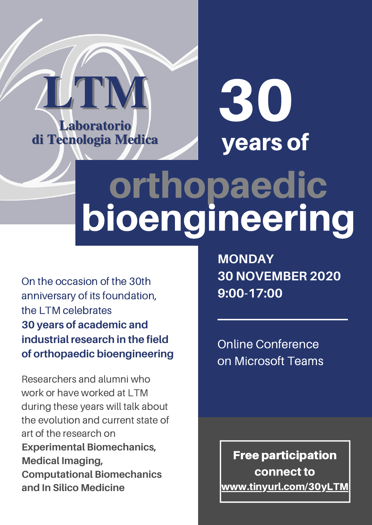

# years of 30

# orthopaedic bioengineering

On the occasion of the 30th anniversary of its foundation, the LTM celebrates **30 years of academic and industrial research in the field of orthopaedic bioengineering**

Researchers and alumni who work or have worked at LTM during these years will talk about the evolution and current state of art of the research on **Experimental Biomechanics, Medical Imaging, Computational Biomechanics and In Silico Medicine**

**MONDAY 30 NOVEMBER 2020 9:00-17:00**

Online Conference on Microsoft Teams

Free participation connect to [www.tinyurl.com/30yLTM](https://tinyurl.com/30yLTM)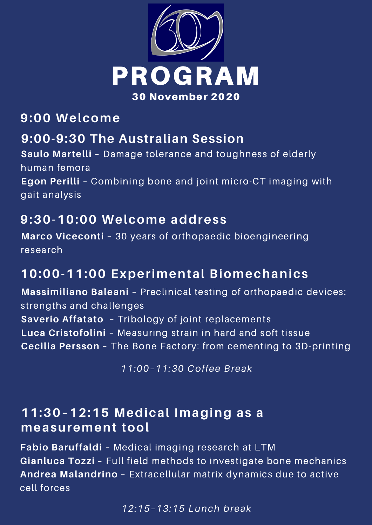

# **9:00 Welcome**

# **9:00-9:30 The Australian Session**

**Saulo Martelli** – Damage tolerance and toughness of elderly human femora **Egon Perilli** – Combining bone and joint micro-CT imaging with gait analysis

# **9:30-10:00 Welcome address**

**Marco Viceconti** – 30 years of orthopaedic bioengineering research

# **10:00-11:00 Experimental Biomechanics**

**Massimiliano Baleani** – Preclinical testing of orthopaedic devices: strengths and challenges **Saverio Affatato** – Tribology of joint replacements **Luca Cristofolini** – Measuring strain in hard and soft tissue **Cecilia Persson** – The Bone Factory: from cementing to 3D-printing

*11:00–11:30 Coffee Break*

#### **11:30–12:15 Medical Imaging as a measurement tool**

**Fabio Baruffaldi** – Medical imaging research at LTM **Gianluca Tozzi** – Full field methods to investigate bone mechanics **Andrea Malandrino** – Extracellular matrix dynamics due to active cell forces

*12:15–13:15 Lunch break*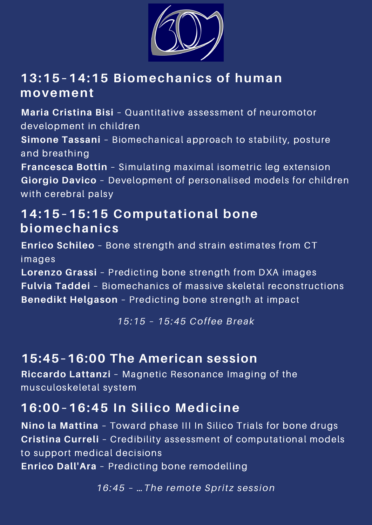

# **13:15–14:15 Biomechanics of human movement**

**Maria Cristina Bisi** – Quantitative assessment of neuromotor development in children

**Simone Tassani** – Biomechanical approach to stability, posture and breathing

**Francesca Bottin** – Simulating maximal isometric leg extension **Giorgio Davico** – Development of personalised models for children with cerebral palsy

# **14:15–15:15 Computational bone biomechanics**

**Enrico Schileo** – Bone strength and strain estimates from CT images

**Lorenzo Grassi** – Predicting bone strength from DXA images **Fulvia Taddei** – Biomechanics of massive skeletal reconstructions **Benedikt Helgason** – Predicting bone strength at impact

*15:15 – 15:45 Coffee Break*

# **15:45–16:00 The American session**

**Riccardo Lattanzi** – Magnetic Resonance Imaging of the musculoskeletal system

# **16:00–16:45 In Silico Medicine**

**Nino la Mattina** – Toward phase III In Silico Trials for bone drugs **Cristina Curreli** – Credibility assessment of computational models to support medical decisions **Enrico Dall'Ara** – Predicting bone remodelling

*16:45 – …The remote Spritz session*